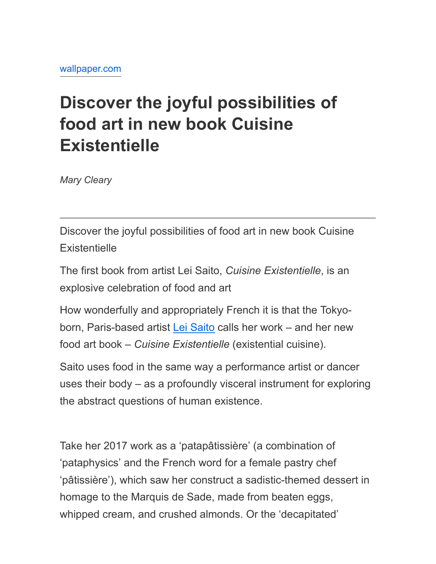## **Discover the joyful possibilities of food art in new book Cuisine Existentielle**

*Mary Cleary*

Discover the joyful possibilities of food art in new book Cuisine **Existentielle** 

The first book from artist Lei Saito, *Cuisine Existentielle*, is an explosive celebration of food and art

How wonderfully and appropriately French it is that the Tokyoborn, Paris-based artist [Lei Saito](https://www.wallpaper.com/lifestyle/lei-saltos-conceptual-cuisine) calls her work – and her new food art book – *Cuisine Existentielle* (existential cuisine).

Saito uses food in the same way a performance artist or dancer uses their body – as a profoundly visceral instrument for exploring the abstract questions of human existence.

Take her 2017 work as a 'patapâtissière' (a combination of 'pataphysics' and the French word for a female pastry chef 'pâtissière'), which saw her construct a sadistic-themed dessert in homage to the Marquis de Sade, made from beaten eggs, whipped cream, and crushed almonds. Or the 'decapitated'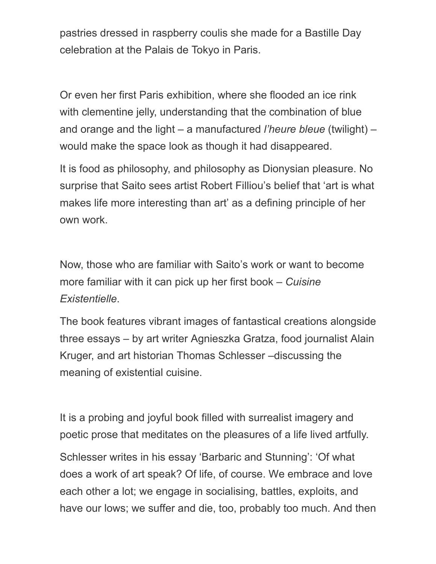pastries dressed in raspberry coulis she made for a Bastille Day celebration at the Palais de Tokyo in Paris.

Or even her first Paris exhibition, where she flooded an ice rink with clementine jelly, understanding that the combination of blue and orange and the light – a manufactured *l'heure bleue* (twilight) *–* would make the space look as though it had disappeared.

It is food as philosophy, and philosophy as Dionysian pleasure. No surprise that Saito sees artist Robert Filliou's belief that 'art is what makes life more interesting than art' as a defining principle of her own work.

Now, those who are familiar with Saito's work or want to become more familiar with it can pick up her first book – *Cuisine Existentielle*.

The book features vibrant images of fantastical creations alongside three essays – by art writer Agnieszka Gratza, food journalist Alain Kruger, and art historian Thomas Schlesser –discussing the meaning of existential cuisine.

It is a probing and joyful book filled with surrealist imagery and poetic prose that meditates on the pleasures of a life lived artfully.

Schlesser writes in his essay 'Barbaric and Stunning': 'Of what does a work of art speak? Of life, of course. We embrace and love each other a lot; we engage in socialising, battles, exploits, and have our lows; we suffer and die, too, probably too much. And then